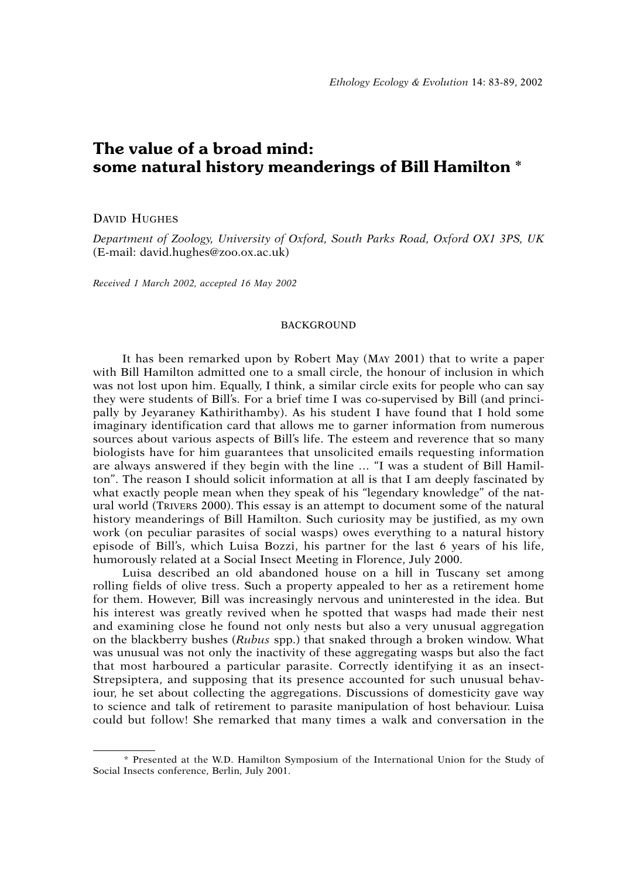# **The value of a broad mind: some natural history meanderings of Bill Hamilton \***

# DAVID HUGHES

*Department of Zoology, University of Oxford, South Parks Road, Oxford OX1 3PS, UK* (E-mail: david.hughes@zoo.ox.ac.uk)

*Received 1 March 2002, accepted 16 May 2002*

## BACKGROUND

It has been remarked upon by Robert May (MAY 2001) that to write a paper with Bill Hamilton admitted one to a small circle, the honour of inclusion in which was not lost upon him. Equally, I think, a similar circle exits for people who can say they were students of Bill's. For a brief time I was co-supervised by Bill (and principally by Jeyaraney Kathirithamby). As his student I have found that I hold some imaginary identification card that allows me to garner information from numerous sources about various aspects of Bill's life. The esteem and reverence that so many biologists have for him guarantees that unsolicited emails requesting information are always answered if they begin with the line … "I was a student of Bill Hamilton". The reason I should solicit information at all is that I am deeply fascinated by what exactly people mean when they speak of his "legendary knowledge" of the natural world (TRIVERS 2000). This essay is an attempt to document some of the natural history meanderings of Bill Hamilton. Such curiosity may be justified, as my own work (on peculiar parasites of social wasps) owes everything to a natural history episode of Bill's, which Luisa Bozzi, his partner for the last 6 years of his life, humorously related at a Social Insect Meeting in Florence, July 2000.

Luisa described an old abandoned house on a hill in Tuscany set among rolling fields of olive tress. Such a property appealed to her as a retirement home for them. However, Bill was increasingly nervous and uninterested in the idea. But his interest was greatly revived when he spotted that wasps had made their nest and examining close he found not only nests but also a very unusual aggregation on the blackberry bushes (*Rubus* spp.) that snaked through a broken window. What was unusual was not only the inactivity of these aggregating wasps but also the fact that most harboured a particular parasite. Correctly identifying it as an insect-Strepsiptera, and supposing that its presence accounted for such unusual behaviour, he set about collecting the aggregations. Discussions of domesticity gave way to science and talk of retirement to parasite manipulation of host behaviour. Luisa could but follow! She remarked that many times a walk and conversation in the

<sup>\*</sup> Presented at the W.D. Hamilton Symposium of the International Union for the Study of Social Insects conference, Berlin, July 2001.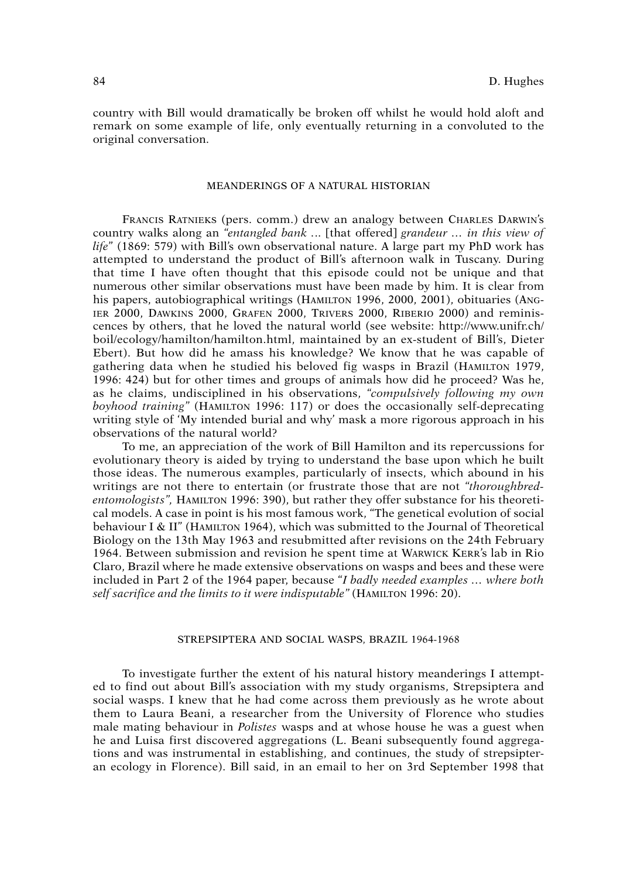country with Bill would dramatically be broken off whilst he would hold aloft and remark on some example of life, only eventually returning in a convoluted to the original conversation.

## MEANDERINGS OF A NATURAL HISTORIAN

FRANCIS RATNIEKS (pers. comm.) drew an analogy between CHARLES DARWIN's country walks along an *"entangled bank .*.. [that offered] *grandeur … in this view of life*" (1869: 579) with Bill's own observational nature. A large part my PhD work has attempted to understand the product of Bill's afternoon walk in Tuscany. During that time I have often thought that this episode could not be unique and that numerous other similar observations must have been made by him. It is clear from his papers, autobiographical writings (HAMILTON 1996, 2000, 2001), obituaries (ANG-IER 2000, DAWKINS 2000, GRAFEN 2000, TRIVERS 2000, RIBERIO 2000) and reminiscences by others, that he loved the natural world (see website: http://www.unifr.ch/ boil/ecology/hamilton/hamilton.html, maintained by an ex-student of Bill's, Dieter Ebert). But how did he amass his knowledge? We know that he was capable of gathering data when he studied his beloved fig wasps in Brazil (HAMILTON 1979, 1996: 424) but for other times and groups of animals how did he proceed? Was he, as he claims, undisciplined in his observations, *"compulsively following my own boyhood training"* (HAMILTON 1996: 117) or does the occasionally self-deprecating writing style of 'My intended burial and why' mask a more rigorous approach in his observations of the natural world?

To me, an appreciation of the work of Bill Hamilton and its repercussions for evolutionary theory is aided by trying to understand the base upon which he built those ideas. The numerous examples, particularly of insects, which abound in his writings are not there to entertain (or frustrate those that are not *"thoroughbredentomologists",* HAMILTON 1996: 390), but rather they offer substance for his theoretical models. A case in point is his most famous work, "The genetical evolution of social behaviour I & II" (HAMILTON 1964), which was submitted to the Journal of Theoretical Biology on the 13th May 1963 and resubmitted after revisions on the 24th February 1964. Between submission and revision he spent time at WARWICK KERR's lab in Rio Claro, Brazil where he made extensive observations on wasps and bees and these were included in Part 2 of the 1964 paper, because "*I badly needed examples … where both self sacrifice and the limits to it were indisputable"* (HAMILTON 1996: 20).

# STREPSIPTERA AND SOCIAL WASPS, BRAZIL 1964-1968

To investigate further the extent of his natural history meanderings I attempted to find out about Bill's association with my study organisms, Strepsiptera and social wasps. I knew that he had come across them previously as he wrote about them to Laura Beani, a researcher from the University of Florence who studies male mating behaviour in *Polistes* wasps and at whose house he was a guest when he and Luisa first discovered aggregations (L. Beani subsequently found aggregations and was instrumental in establishing, and continues, the study of strepsipteran ecology in Florence). Bill said, in an email to her on 3rd September 1998 that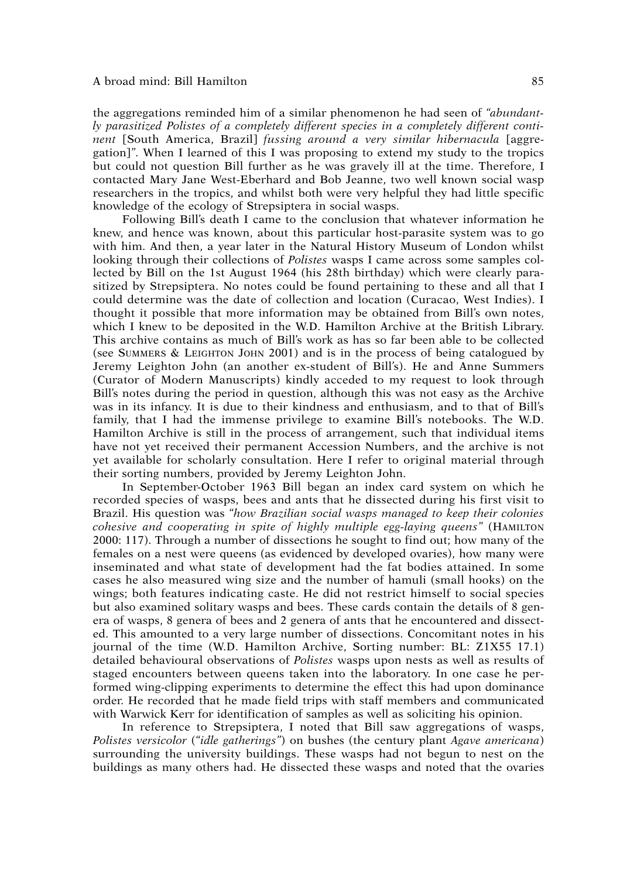## A broad mind: Bill Hamilton 85

the aggregations reminded him of a similar phenomenon he had seen of *"abundantly parasitized Polistes of a completely different species in a completely different continent* [South America, Brazil] *fussing around a very similar hibernacula* [aggregation]*"*. When I learned of this I was proposing to extend my study to the tropics but could not question Bill further as he was gravely ill at the time. Therefore, I contacted Mary Jane West-Eberhard and Bob Jeanne, two well known social wasp researchers in the tropics, and whilst both were very helpful they had little specific knowledge of the ecology of Strepsiptera in social wasps.

Following Bill's death I came to the conclusion that whatever information he knew, and hence was known, about this particular host-parasite system was to go with him. And then, a year later in the Natural History Museum of London whilst looking through their collections of *Polistes* wasps I came across some samples collected by Bill on the 1st August 1964 (his 28th birthday) which were clearly parasitized by Strepsiptera. No notes could be found pertaining to these and all that I could determine was the date of collection and location (Curacao, West Indies). I thought it possible that more information may be obtained from Bill's own notes, which I knew to be deposited in the W.D. Hamilton Archive at the British Library. This archive contains as much of Bill's work as has so far been able to be collected (see SUMMERS & LEIGHTON JOHN 2001) and is in the process of being catalogued by Jeremy Leighton John (an another ex-student of Bill's). He and Anne Summers (Curator of Modern Manuscripts) kindly acceded to my request to look through Bill's notes during the period in question, although this was not easy as the Archive was in its infancy. It is due to their kindness and enthusiasm, and to that of Bill's family, that I had the immense privilege to examine Bill's notebooks. The W.D. Hamilton Archive is still in the process of arrangement, such that individual items have not yet received their permanent Accession Numbers, and the archive is not yet available for scholarly consultation. Here I refer to original material through their sorting numbers, provided by Jeremy Leighton John.

In September-October 1963 Bill began an index card system on which he recorded species of wasps, bees and ants that he dissected during his first visit to Brazil. His question was "*how Brazilian social wasps managed to keep their colonies cohesive and cooperating in spite of highly multiple egg-laying queens"* (HAMILTON 2000: 117). Through a number of dissections he sought to find out; how many of the females on a nest were queens (as evidenced by developed ovaries), how many were inseminated and what state of development had the fat bodies attained. In some cases he also measured wing size and the number of hamuli (small hooks) on the wings; both features indicating caste. He did not restrict himself to social species but also examined solitary wasps and bees. These cards contain the details of 8 genera of wasps, 8 genera of bees and 2 genera of ants that he encountered and dissected. This amounted to a very large number of dissections. Concomitant notes in his journal of the time (W.D. Hamilton Archive, Sorting number: BL: Z1X55 17.1) detailed behavioural observations of *Polistes* wasps upon nests as well as results of staged encounters between queens taken into the laboratory. In one case he performed wing-clipping experiments to determine the effect this had upon dominance order. He recorded that he made field trips with staff members and communicated with Warwick Kerr for identification of samples as well as soliciting his opinion.

In reference to Strepsiptera, I noted that Bill saw aggregations of wasps, *Polistes versicolor* ("*idle gatherings"*) on bushes (the century plant *Agave americana*) surrounding the university buildings. These wasps had not begun to nest on the buildings as many others had. He dissected these wasps and noted that the ovaries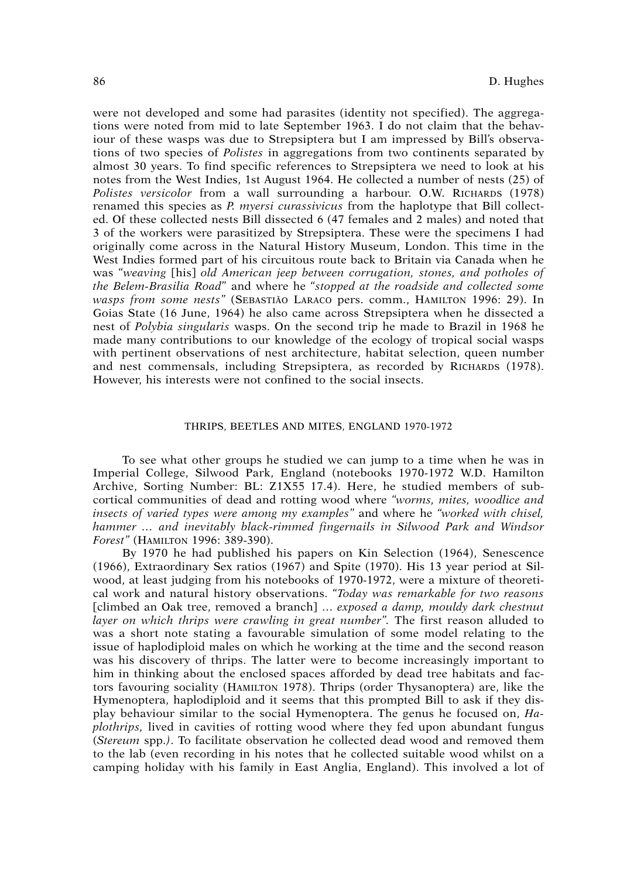were not developed and some had parasites (identity not specified). The aggregations were noted from mid to late September 1963. I do not claim that the behaviour of these wasps was due to Strepsiptera but I am impressed by Bill's observations of two species of *Polistes* in aggregations from two continents separated by almost 30 years. To find specific references to Strepsiptera we need to look at his notes from the West Indies, 1st August 1964. He collected a number of nests (25) of *Polistes versicolor* from a wall surrounding a harbour. O.W. RICHARDS (1978) renamed this species as *P. myersi curassivicus* from the haplotype that Bill collected. Of these collected nests Bill dissected 6 (47 females and 2 males) and noted that 3 of the workers were parasitized by Strepsiptera. These were the specimens I had originally come across in the Natural History Museum, London. This time in the West Indies formed part of his circuitous route back to Britain via Canada when he was "*weaving* [his] *old American jeep between corrugation, stones, and potholes of the Belem-Brasilia Road*" and where he "*stopped at the roadside and collected some wasps from some nests"* (SEBASTIÃO LARACO pers. comm., HAMILTON 1996: 29). In Goias State (16 June, 1964) he also came across Strepsiptera when he dissected a nest of *Polybia singularis* wasps. On the second trip he made to Brazil in 1968 he made many contributions to our knowledge of the ecology of tropical social wasps with pertinent observations of nest architecture, habitat selection, queen number and nest commensals, including Strepsiptera, as recorded by RICHARDS (1978). However, his interests were not confined to the social insects.

# THRIPS, BEETLES AND MITES, ENGLAND 1970-1972

To see what other groups he studied we can jump to a time when he was in Imperial College, Silwood Park, England (notebooks 1970-1972 W.D. Hamilton Archive, Sorting Number: BL: Z1X55 17.4). Here, he studied members of subcortical communities of dead and rotting wood where *"worms, mites, woodlice and insects of varied types were among my examples"* and where he *"worked with chisel, hammer … and inevitably black-rimmed fingernails in Silwood Park and Windsor Forest"* (HAMILTON 1996: 389-390).

By 1970 he had published his papers on Kin Selection (1964), Senescence (1966), Extraordinary Sex ratios (1967) and Spite (1970). His 13 year period at Silwood, at least judging from his notebooks of 1970-1972, were a mixture of theoretical work and natural history observations. "*Today was remarkable for two reasons* [climbed an Oak tree, removed a branch] … *exposed a damp, mouldy dark chestnut layer on which thrips were crawling in great number".* The first reason alluded to was a short note stating a favourable simulation of some model relating to the issue of haplodiploid males on which he working at the time and the second reason was his discovery of thrips. The latter were to become increasingly important to him in thinking about the enclosed spaces afforded by dead tree habitats and factors favouring sociality (HAMILTON 1978). Thrips (order Thysanoptera) are, like the Hymenoptera, haplodiploid and it seems that this prompted Bill to ask if they display behaviour similar to the social Hymenoptera. The genus he focused on, *Haplothrips,* lived in cavities of rotting wood where they fed upon abundant fungus (*Stereum* spp.*)*. To facilitate observation he collected dead wood and removed them to the lab (even recording in his notes that he collected suitable wood whilst on a camping holiday with his family in East Anglia, England). This involved a lot of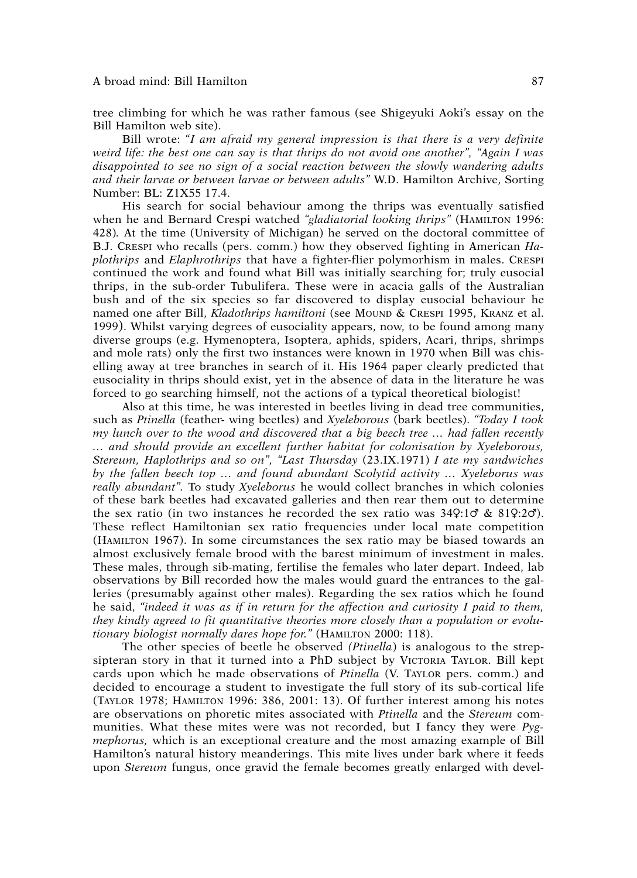# A broad mind: Bill Hamilton 87

tree climbing for which he was rather famous (see Shigeyuki Aoki's essay on the Bill Hamilton web site).

Bill wrote: "*I am afraid my general impression is that there is a very definite weird life: the best one can say is that thrips do not avoid one another", "Again I was disappointed to see no sign of a social reaction between the slowly wandering adults and their larvae or between larvae or between adults"* W.D. Hamilton Archive, Sorting Number: BL: Z1X55 17.4.

His search for social behaviour among the thrips was eventually satisfied when he and Bernard Crespi watched *"gladiatorial looking thrips"* (HAMILTON 1996: 428)*.* At the time (University of Michigan) he served on the doctoral committee of B.J. CRESPI who recalls (pers. comm.) how they observed fighting in American *Haplothrips* and *Elaphrothrips* that have a fighter-flier polymorhism in males. CRESPI continued the work and found what Bill was initially searching for; truly eusocial thrips, in the sub-order Tubulifera. These were in acacia galls of the Australian bush and of the six species so far discovered to display eusocial behaviour he named one after Bill, *Kladothrips hamiltoni* (see MOUND & CRESPI 1995, KRANZ et al. 1999). Whilst varying degrees of eusociality appears, now, to be found among many diverse groups (e.g. Hymenoptera, Isoptera, aphids, spiders, Acari, thrips, shrimps and mole rats) only the first two instances were known in 1970 when Bill was chiselling away at tree branches in search of it. His 1964 paper clearly predicted that eusociality in thrips should exist, yet in the absence of data in the literature he was forced to go searching himself, not the actions of a typical theoretical biologist!

Also at this time, he was interested in beetles living in dead tree communities, such as *Ptinella* (feather- wing beetles) and *Xyeleborous* (bark beetles). *"Today I took my lunch over to the wood and discovered that a big beech tree … had fallen recently … and should provide an excellent further habitat for colonisation by Xyeleborous, Stereum, Haplothrips and so on", "Last Thursday* (23.IX.1971) *I ate my sandwiches by the fallen beech top … and found abundant Scolytid activity … Xyeleborus was really abundant".* To study *Xyeleborus* he would collect branches in which colonies of these bark beetles had excavated galleries and then rear them out to determine the sex ratio (in two instances he recorded the sex ratio was  $34\frac{9:10}{8}$  &  $81\frac{9:20}{8}$ ). These reflect Hamiltonian sex ratio frequencies under local mate competition (HAMILTON 1967). In some circumstances the sex ratio may be biased towards an almost exclusively female brood with the barest minimum of investment in males. These males, through sib-mating, fertilise the females who later depart. Indeed, lab observations by Bill recorded how the males would guard the entrances to the galleries (presumably against other males). Regarding the sex ratios which he found he said, *"indeed it was as if in return for the affection and curiosity I paid to them, they kindly agreed to fit quantitative theories more closely than a population or evolutionary biologist normally dares hope for."* (HAMILTON 2000: 118).

The other species of beetle he observed *(Ptinella*) is analogous to the strepsipteran story in that it turned into a PhD subject by VICTORIA TAYLOR. Bill kept cards upon which he made observations of *Ptinella* (V. TAYLOR pers. comm.) and decided to encourage a student to investigate the full story of its sub-cortical life (TAYLOR 1978; HAMILTON 1996: 386, 2001: 13). Of further interest among his notes are observations on phoretic mites associated with *Ptinella* and the *Stereum* communities. What these mites were was not recorded, but I fancy they were *Pygmephorus,* which is an exceptional creature and the most amazing example of Bill Hamilton's natural history meanderings. This mite lives under bark where it feeds upon *Stereum* fungus, once gravid the female becomes greatly enlarged with devel-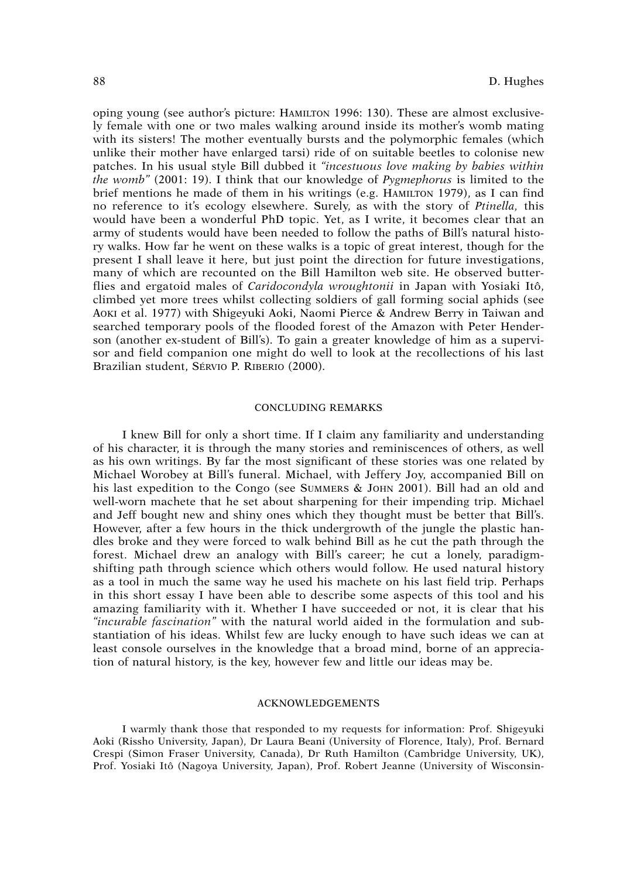oping young (see author's picture: HAMILTON 1996: 130). These are almost exclusively female with one or two males walking around inside its mother's womb mating with its sisters! The mother eventually bursts and the polymorphic females (which unlike their mother have enlarged tarsi) ride of on suitable beetles to colonise new patches. In his usual style Bill dubbed it *"incestuous love making by babies within the womb"* (2001: 19). I think that our knowledge of *Pygmephorus* is limited to the brief mentions he made of them in his writings (e.g. HAMILTON 1979), as I can find no reference to it's ecology elsewhere. Surely, as with the story of *Ptinella,* this would have been a wonderful PhD topic. Yet, as I write, it becomes clear that an army of students would have been needed to follow the paths of Bill's natural history walks. How far he went on these walks is a topic of great interest, though for the present I shall leave it here, but just point the direction for future investigations, many of which are recounted on the Bill Hamilton web site. He observed butterflies and ergatoid males of *Caridocondyla wroughtonii* in Japan with Yosiaki Itô, climbed yet more trees whilst collecting soldiers of gall forming social aphids (see AOKI et al. 1977) with Shigeyuki Aoki, Naomi Pierce & Andrew Berry in Taiwan and searched temporary pools of the flooded forest of the Amazon with Peter Henderson (another ex-student of Bill's). To gain a greater knowledge of him as a supervisor and field companion one might do well to look at the recollections of his last Brazilian student, SÉRVIO P. RIBERIO (2000).

### CONCLUDING REMARKS

I knew Bill for only a short time. If I claim any familiarity and understanding of his character, it is through the many stories and reminiscences of others, as well as his own writings. By far the most significant of these stories was one related by Michael Worobey at Bill's funeral. Michael, with Jeffery Joy, accompanied Bill on his last expedition to the Congo (see SUMMERS & JOHN 2001). Bill had an old and well-worn machete that he set about sharpening for their impending trip. Michael and Jeff bought new and shiny ones which they thought must be better that Bill's. However, after a few hours in the thick undergrowth of the jungle the plastic handles broke and they were forced to walk behind Bill as he cut the path through the forest. Michael drew an analogy with Bill's career; he cut a lonely, paradigmshifting path through science which others would follow. He used natural history as a tool in much the same way he used his machete on his last field trip. Perhaps in this short essay I have been able to describe some aspects of this tool and his amazing familiarity with it. Whether I have succeeded or not, it is clear that his *"incurable fascination"* with the natural world aided in the formulation and substantiation of his ideas. Whilst few are lucky enough to have such ideas we can at least console ourselves in the knowledge that a broad mind, borne of an appreciation of natural history, is the key, however few and little our ideas may be.

# ACKNOWLEDGEMENTS

I warmly thank those that responded to my requests for information: Prof. Shigeyuki Aoki (Rissho University, Japan), Dr Laura Beani (University of Florence, Italy), Prof. Bernard Crespi (Simon Fraser University, Canada), Dr Ruth Hamilton (Cambridge University, UK), Prof. Yosiaki Itô (Nagoya University, Japan), Prof. Robert Jeanne (University of Wisconsin-